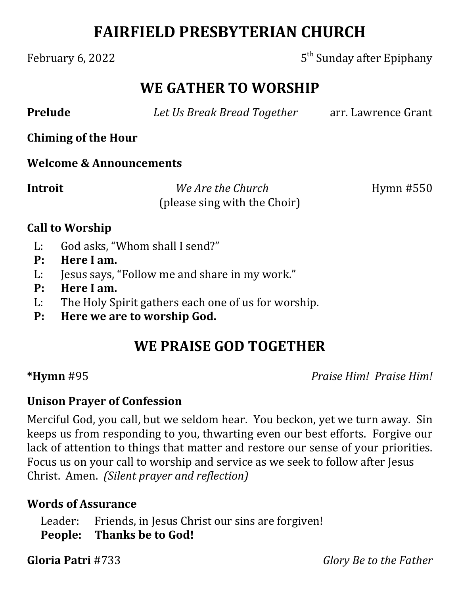# **FAIRFIELD PRESBYTERIAN CHURCH**

February 6, 2022 **5th** Sunday after Epiphany

## **WE GATHER TO WORSHIP**

**Prelude** *Det Us Break Bread Together* arr. Lawrence Grant

**Chiming of the Hour**

#### **Welcome & Announcements**

**Introit** *We Are the Church* Hymn #550 (please sing with the Choir)

#### **Call to Worship**

- L: God asks, "Whom shall I send?"
- **P: Here I am.**
- L: Jesus says, "Follow me and share in my work."
- **P: Here I am.**
- L: The Holy Spirit gathers each one of us for worship.
- **P: Here we are to worship God.**

## **WE PRAISE GOD TOGETHER**

**\*Hymn** #95 *Praise Him! Praise Him!*

### **Unison Prayer of Confession**

Merciful God, you call, but we seldom hear. You beckon, yet we turn away. Sin keeps us from responding to you, thwarting even our best efforts. Forgive our lack of attention to things that matter and restore our sense of your priorities. Focus us on your call to worship and service as we seek to follow after Jesus Christ. Amen. *(Silent prayer and reflection)*

### **Words of Assurance**

Leader: Friends, in Jesus Christ our sins are forgiven! **People: Thanks be to God!**

**Gloria Patri** #733 *Glory Be to the Father*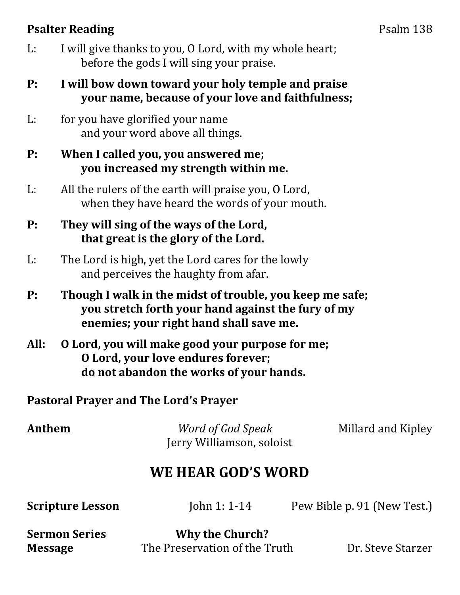## **Psalter Reading** Psalm 138

- L: I will give thanks to you, O Lord, with my whole heart; before the gods I will sing your praise.
- **P: I will bow down toward your holy temple and praise your name, because of your love and faithfulness;**
- L: for you have glorified your name and your word above all things.
- **P: When I called you, you answered me; you increased my strength within me.**
- L: All the rulers of the earth will praise you, O Lord, when they have heard the words of your mouth.
- **P: They will sing of the ways of the Lord, that great is the glory of the Lord.**
- L: The Lord is high, yet the Lord cares for the lowly and perceives the haughty from afar.
- **P: Though I walk in the midst of trouble, you keep me safe; you stretch forth your hand against the fury of my enemies; your right hand shall save me.**
- **All: O Lord, you will make good your purpose for me; O Lord, your love endures forever; do not abandon the works of your hands.**

**Pastoral Prayer and The Lord's Prayer**

| Anthem | Word of God Speak         | Millard and Kipley |
|--------|---------------------------|--------------------|
|        | Jerry Williamson, soloist |                    |

## **WE HEAR GOD'S WORD**

**Scripture Lesson** John 1: 1-14 Pew Bible p. 91 (New Test.)

**Sermon Series Why the Church?**

**Message** The Preservation of the Truth Dr. Steve Starzer